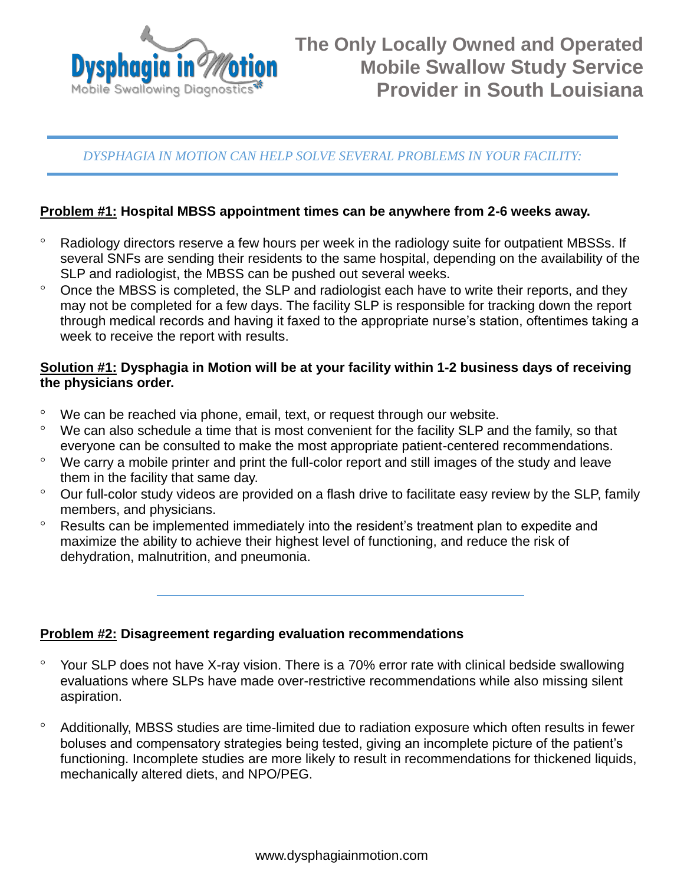

## *DYSPHAGIA IN MOTION CAN HELP SOLVE SEVERAL PROBLEMS IN YOUR FACILITY:*

### **Problem #1: Hospital MBSS appointment times can be anywhere from 2-6 weeks away.**

- <sup>o</sup> Radiology directors reserve a few hours per week in the radiology suite for outpatient MBSSs. If several SNFs are sending their residents to the same hospital, depending on the availability of the SLP and radiologist, the MBSS can be pushed out several weeks.
- <sup>o</sup> Once the MBSS is completed, the SLP and radiologist each have to write their reports, and they may not be completed for a few days. The facility SLP is responsible for tracking down the report through medical records and having it faxed to the appropriate nurse's station, oftentimes taking a week to receive the report with results.

### **Solution #1: Dysphagia in Motion will be at your facility within 1-2 business days of receiving the physicians order.**

- We can be reached via phone, email, text, or request through our website.
- <sup>o</sup> We can also schedule a time that is most convenient for the facility SLP and the family, so that everyone can be consulted to make the most appropriate patient-centered recommendations.
- We carry a mobile printer and print the full-color report and still images of the study and leave them in the facility that same day.
- <sup>o</sup> Our full-color study videos are provided on a flash drive to facilitate easy review by the SLP, family members, and physicians.
- <sup>o</sup> Results can be implemented immediately into the resident's treatment plan to expedite and maximize the ability to achieve their highest level of functioning, and reduce the risk of dehydration, malnutrition, and pneumonia.

#### **Problem #2: Disagreement regarding evaluation recommendations**

- Your SLP does not have X-ray vision. There is a 70% error rate with clinical bedside swallowing evaluations where SLPs have made over-restrictive recommendations while also missing silent aspiration.
- Additionally, MBSS studies are time-limited due to radiation exposure which often results in fewer boluses and compensatory strategies being tested, giving an incomplete picture of the patient's functioning. Incomplete studies are more likely to result in recommendations for thickened liquids, mechanically altered diets, and NPO/PEG.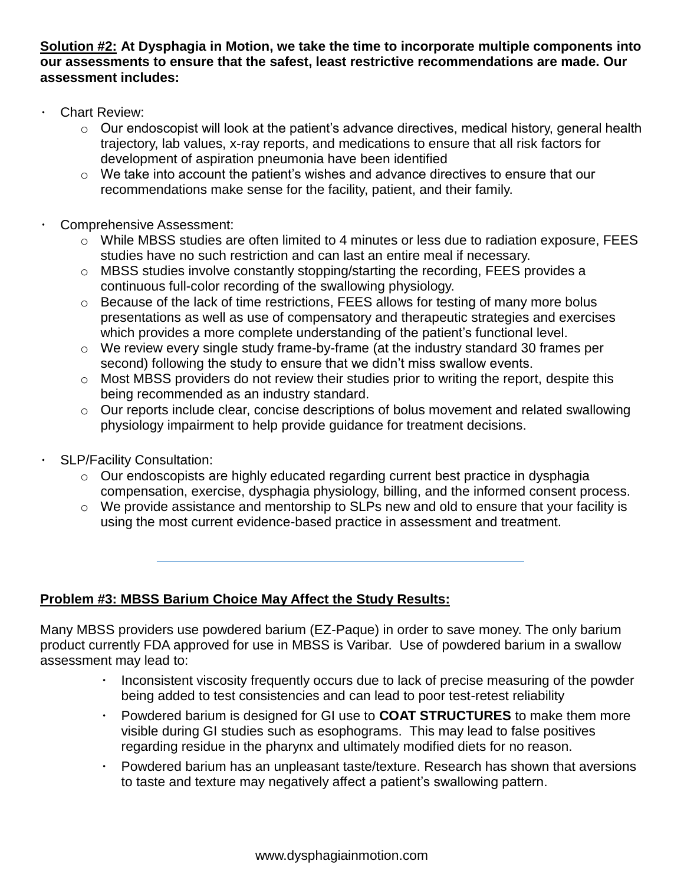**Solution #2: At Dysphagia in Motion, we take the time to incorporate multiple components into our assessments to ensure that the safest, least restrictive recommendations are made. Our assessment includes:**

- $\bullet$ Chart Review:
	- $\circ$  Our endoscopist will look at the patient's advance directives, medical history, general health trajectory, lab values, x-ray reports, and medications to ensure that all risk factors for development of aspiration pneumonia have been identified
	- o We take into account the patient's wishes and advance directives to ensure that our recommendations make sense for the facility, patient, and their family.
	- Comprehensive Assessment:
		- $\circ$  While MBSS studies are often limited to 4 minutes or less due to radiation exposure, FEES studies have no such restriction and can last an entire meal if necessary.
		- o MBSS studies involve constantly stopping/starting the recording, FEES provides a continuous full-color recording of the swallowing physiology.
		- o Because of the lack of time restrictions, FEES allows for testing of many more bolus presentations as well as use of compensatory and therapeutic strategies and exercises which provides a more complete understanding of the patient's functional level.
		- o We review every single study frame-by-frame (at the industry standard 30 frames per second) following the study to ensure that we didn't miss swallow events.
		- $\circ$  Most MBSS providers do not review their studies prior to writing the report, despite this being recommended as an industry standard.
		- o Our reports include clear, concise descriptions of bolus movement and related swallowing physiology impairment to help provide guidance for treatment decisions.
	- SLP/Facility Consultation:
		- o Our endoscopists are highly educated regarding current best practice in dysphagia compensation, exercise, dysphagia physiology, billing, and the informed consent process.
		- o We provide assistance and mentorship to SLPs new and old to ensure that your facility is using the most current evidence-based practice in assessment and treatment.

## **Problem #3: MBSS Barium Choice May Affect the Study Results:**

Many MBSS providers use powdered barium (EZ-Paque) in order to save money. The only barium product currently FDA approved for use in MBSS is Varibar. Use of powdered barium in a swallow assessment may lead to:

- Inconsistent viscosity frequently occurs due to lack of precise measuring of the powder  $\bullet$  . being added to test consistencies and can lead to poor test-retest reliability
- Powdered barium is designed for GI use to **COAT STRUCTURES** to make them more  $\bullet$ visible during GI studies such as esophograms. This may lead to false positives regarding residue in the pharynx and ultimately modified diets for no reason.
- Powdered barium has an unpleasant taste/texture. Research has shown that aversions to taste and texture may negatively affect a patient's swallowing pattern.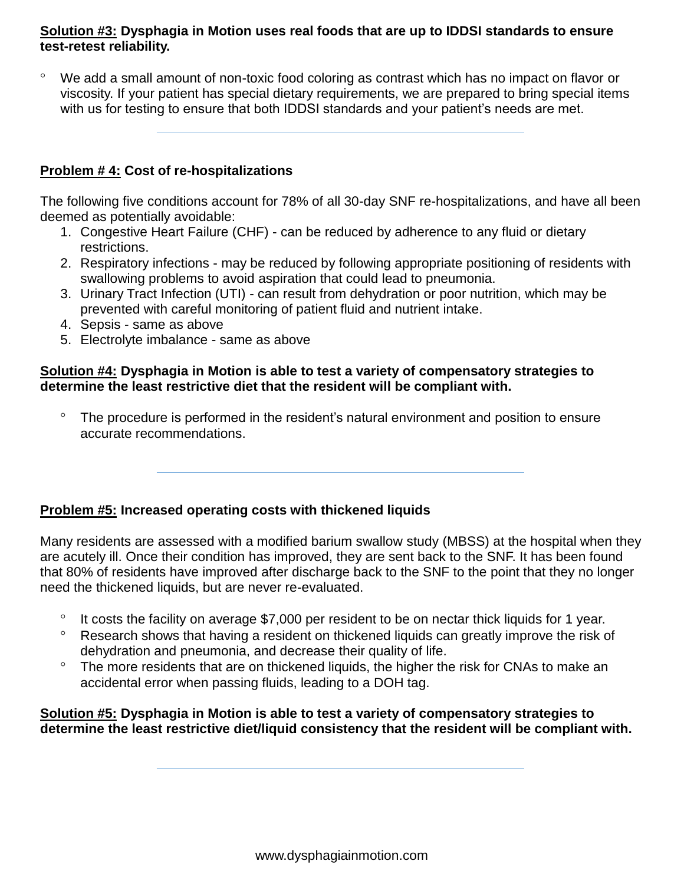### **Solution #3: Dysphagia in Motion uses real foods that are up to IDDSI standards to ensure test-retest reliability.**

 We add a small amount of non-toxic food coloring as contrast which has no impact on flavor or viscosity. If your patient has special dietary requirements, we are prepared to bring special items with us for testing to ensure that both IDDSI standards and your patient's needs are met.

# **Problem # 4: Cost of re-hospitalizations**

The following five conditions account for 78% of all 30-day SNF re-hospitalizations, and have all been deemed as potentially avoidable:

- 1. Congestive Heart Failure (CHF) can be reduced by adherence to any fluid or dietary restrictions.
- 2. Respiratory infections may be reduced by following appropriate positioning of residents with swallowing problems to avoid aspiration that could lead to pneumonia.
- 3. Urinary Tract Infection (UTI) can result from dehydration or poor nutrition, which may be prevented with careful monitoring of patient fluid and nutrient intake.
- 4. Sepsis same as above
- 5. Electrolyte imbalance same as above

### **Solution #4: Dysphagia in Motion is able to test a variety of compensatory strategies to determine the least restrictive diet that the resident will be compliant with.**

 The procedure is performed in the resident's natural environment and position to ensure accurate recommendations.

## **Problem #5: Increased operating costs with thickened liquids**

Many residents are assessed with a modified barium swallow study (MBSS) at the hospital when they are acutely ill. Once their condition has improved, they are sent back to the SNF. It has been found that 80% of residents have improved after discharge back to the SNF to the point that they no longer need the thickened liquids, but are never re-evaluated.

- $\degree$  It costs the facility on average \$7,000 per resident to be on nectar thick liquids for 1 year.
- $\degree$  Research shows that having a resident on thickened liquids can greatly improve the risk of dehydration and pneumonia, and decrease their quality of life.
- <sup>o</sup> The more residents that are on thickened liquids, the higher the risk for CNAs to make an accidental error when passing fluids, leading to a DOH tag.

#### **Solution #5: Dysphagia in Motion is able to test a variety of compensatory strategies to determine the least restrictive diet/liquid consistency that the resident will be compliant with.**